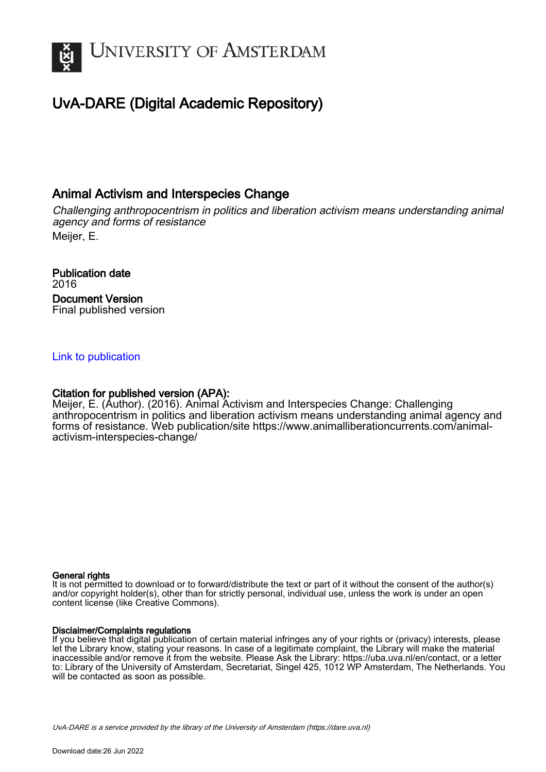

# UvA-DARE (Digital Academic Repository)

# Animal Activism and Interspecies Change

Challenging anthropocentrism in politics and liberation activism means understanding animal agency and forms of resistance Meijer, E.

Publication date 2016 Document Version Final published version

### [Link to publication](https://dare.uva.nl/personal/pure/en/publications/animal-activism-and-interspecies-change(2cd7e11d-efe4-4984-a8e6-54ea103bd7b5).html)

### Citation for published version (APA):

Meijer, E. (Author). (2016). Animal Activism and Interspecies Change: Challenging anthropocentrism in politics and liberation activism means understanding animal agency and forms of resistance. Web publication/site [https://www.animalliberationcurrents.com/animal](https://www.animalliberationcurrents.com/animal-activism-interspecies-change/)[activism-interspecies-change/](https://www.animalliberationcurrents.com/animal-activism-interspecies-change/)

#### General rights

It is not permitted to download or to forward/distribute the text or part of it without the consent of the author(s) and/or copyright holder(s), other than for strictly personal, individual use, unless the work is under an open content license (like Creative Commons).

#### Disclaimer/Complaints regulations

If you believe that digital publication of certain material infringes any of your rights or (privacy) interests, please let the Library know, stating your reasons. In case of a legitimate complaint, the Library will make the material inaccessible and/or remove it from the website. Please Ask the Library: https://uba.uva.nl/en/contact, or a letter to: Library of the University of Amsterdam, Secretariat, Singel 425, 1012 WP Amsterdam, The Netherlands. You will be contacted as soon as possible.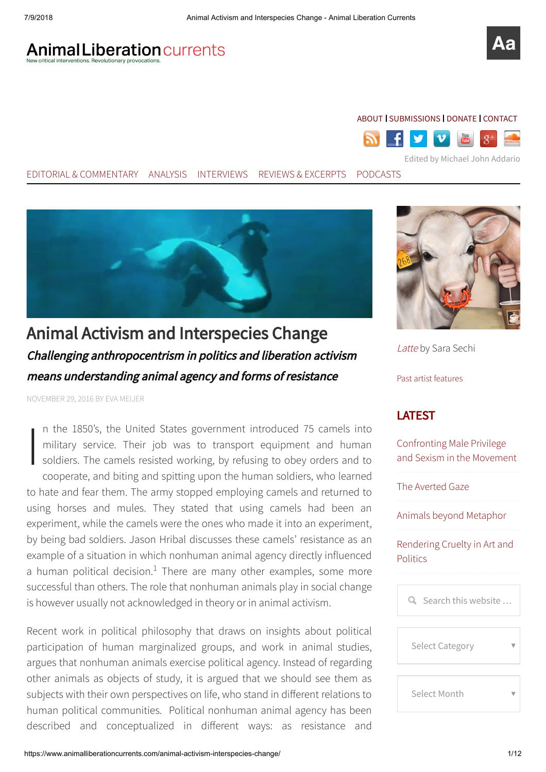# **Animal Liberation currents**

# [ABOUT](https://www.animalliberationcurrents.com/about/) I [SUBMISSIONS](https://www.animalliberationcurrents.com/submissions/) I [DONATE](https://www.animalliberationcurrents.com/donate/) I [CONTACT](https://www.animalliberationcurrents.com/contact/)



EDITORIAL & [COMMENTARY](https://www.animalliberationcurrents.com/category/editorial,commentary) [ANALYSIS](https://www.animalliberationcurrents.com/category/analysis) [INTERVIEWS](https://www.animalliberationcurrents.com/category/interviews) REVIEWS & [EXCERPTS](https://www.animalliberationcurrents.com/category/reviews,excerpts) [PODCASTS](https://www.animalliberationcurrents.com/podcast)



Animal Activism and Interspecies Change Challenging anthropocentrism in politics and liberation activism means understanding animal agency and forms of resistance

NOVEMBER 29, 2016 BY EVA [MEIJER](https://www.animalliberationcurrents.com/author/eva-meijer/)

 $\begin{bmatrix} 1 \\ 1 \\ 2 \end{bmatrix}$ n the 1850's, the United States government introduced 75 camels into military service. Their job was to transport equipment and human soldiers. The camels resisted working, by refusing to obey orders and to cooperate, and biting and spitting upon the human soldiers, who learned to hate and fear them. The army stopped employing camels and returned to using horses and mules. They stated that using camels had been an experiment, while the camels were the ones who made it into an experiment, by being bad soldiers. Jason Hribal discusses these camels' resistance as an example of a situation in which nonhuman animal agency directly influenced a human political decision. $1$  There are many other examples, some more successful than others. The role that nonhuman animals play in social change is however usually not acknowledged in theory or in animal activism.

<span id="page-1-0"></span>Recent work in political philosophy that draws on insights about political participation of human marginalized groups, and work in animal studies, argues that nonhuman animals exercise political agency. Instead of regarding other animals as objects of study, it is argued that we should see them as subjects with their own perspectives on life, who stand in different relations to human political communities. Political nonhuman animal agency has been described and conceptualized in different ways: as resistance and



[Latte](https://www.animalliberationcurrents.com/art/latte-sara-sechi/) by Sara Sechi

Past artist [features](https://www.animalliberationcurrents.com/art)

# LATEST

Confronting Male Privilege [and Sexism in the Movement](https://www.animalliberationcurrents.com/confronting-male-privilege-sexism-movement/)

[The Averted Gaze](https://www.animalliberationcurrents.com/the-averted-gaze/)

[Animals beyond Metaphor](https://www.animalliberationcurrents.com/animals-beyond-metaphor/)

[Rendering Cruelty in Art and](https://www.animalliberationcurrents.com/rendering-cruelty-art-politics/) **Politics** 

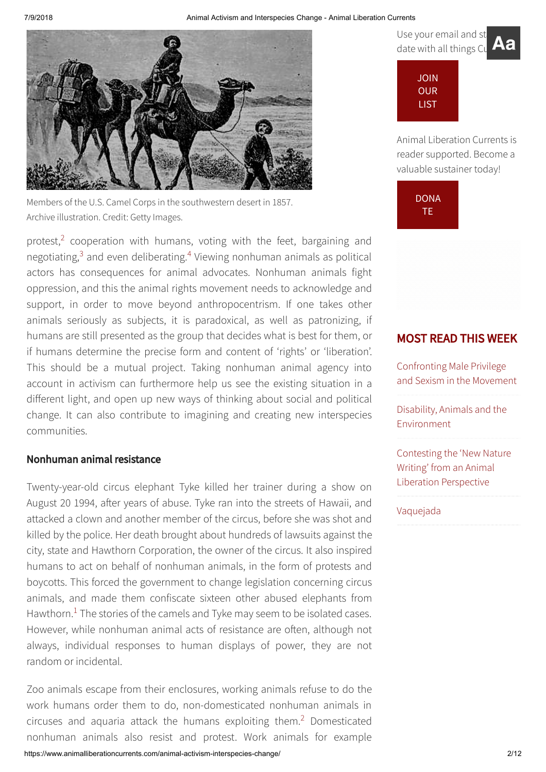

Members of the U.S. Camel Corps in the southwestern desert in 1857. Archive illustration. Credit: Getty Images.

<span id="page-2-2"></span><span id="page-2-1"></span><span id="page-2-0"></span>protest, $2$  cooperation with humans, voting with the feet, bargaining and negotiating, $3$  and even deliberating. $4$  Viewing nonhuman animals as political actors has consequences for animal advocates. Nonhuman animals fight oppression, and this the animal rights movement needs to acknowledge and support, in order to move beyond anthropocentrism. If one takes other animals seriously as subjects, it is paradoxical, as well as patronizing, if humans are still presented as the group that decides what is best for them, or if humans determine the precise form and content of 'rights' or 'liberation'. This should be a mutual project. Taking nonhuman animal agency into account in activism can furthermore help us see the existing situation in a different light, and open up new ways of thinking about social and political change. It can also contribute to imagining and creating new interspecies communities.

# Nonhuman animal resistance

Twenty-year-old circus elephant Tyke killed her trainer during a show on August 20 1994, after years of abuse. Tyke ran into the streets of Hawaii, and attacked a clown and another member of the circus, before she was shot and killed by the police. Her death brought about hundreds of lawsuits against the city, state and Hawthorn Corporation, the owner of the circus. It also inspired humans to act on behalf of nonhuman animals, in the form of protests and boycotts. This forced the government to change legislation concerning circus animals, and made them confiscate sixteen other abused elephants from Hawthorn. $<sup>1</sup>$  $<sup>1</sup>$  $<sup>1</sup>$  The stories of the camels and Tyke may seem to be isolated cases.</sup> However, while nonhuman animal acts of resistance are often, although not always, individual responses to human displays of power, they are not random or incidental.

Zoo animals escape from their enclosures, working animals refuse to do the work humans order them to do, non-domesticated nonhuman animals in circuses and aquaria attack the humans exploiting them.<sup>[2](#page-9-1)</sup> Domesticated nonhuman animals also resist and protest. Work animals for example





Animal Liberation Currents is reader supported. Become a valuable sustainer today!



# MOST READ THIS WEEK

Confronting Male Privilege [and Sexism in the Movement](https://www.animalliberationcurrents.com/confronting-male-privilege-sexism-movement/)

[Disability, Animals and the](https://www.animalliberationcurrents.com/disability-animals-environment/) Environment

[Contesting the 'New Nature](https://www.animalliberationcurrents.com/contesting-the-new-nature-writing/) Writing' from an Animal Liberation Perspective

#### [Vaquejada](https://www.animalliberationcurrents.com/vaquejada-2/)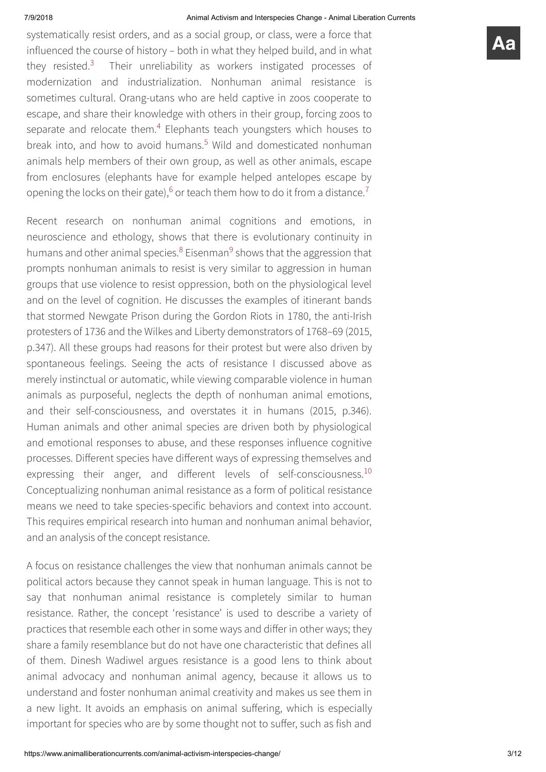systematically resist orders, and as a social group, or class, were a force that influenced the course of history – both in what they helped build, and in what they resisted.<sup>[3](#page-9-2)</sup> Their unreliability as workers instigated processes of modernization and industrialization. Nonhuman animal resistance is sometimes cultural. Orang-utans who are held captive in zoos cooperate to escape, and share their knowledge with others in their group, forcing zoos to separate and relocate them.<sup>[4](#page-9-3)</sup> Elephants teach youngsters which houses to break into, and how to avoid humans.<sup>[5](#page-9-4)</sup> Wild and domesticated nonhuman animals help members of their own group, as well as other animals, escape from enclosures (elephants have for example helped antelopes escape by opening the locks on their gate),  $6$  or teach them how to do it from a distance.<sup>[7](#page-10-1)</sup>

<span id="page-3-4"></span><span id="page-3-3"></span><span id="page-3-2"></span><span id="page-3-1"></span><span id="page-3-0"></span>Recent research on nonhuman animal cognitions and emotions, in neuroscience and ethology, shows that there is evolutionary continuity in humans and other animal species.<sup>[8](#page-10-2)</sup> Eisenman<sup>[9](#page-10-3)</sup> shows that the aggression that prompts nonhuman animals to resist is very similar to aggression in human groups that use violence to resist oppression, both on the physiological level and on the level of cognition. He discusses the examples of itinerant bands that stormed Newgate Prison during the Gordon Riots in 1780, the anti-Irish protesters of 1736 and the Wilkes and Liberty demonstrators of 1768–69 (2015, p.347). All these groups had reasons for their protest but were also driven by spontaneous feelings. Seeing the acts of resistance I discussed above as merely instinctual or automatic, while viewing comparable violence in human animals as purposeful, neglects the depth of nonhuman animal emotions, and their self-consciousness, and overstates it in humans (2015, p.346). Human animals and other animal species are driven both by physiological and emotional responses to abuse, and these responses influence cognitive processes. Different species have different ways of expressing themselves and expressing their anger, and different levels of self-consciousness.<sup>[10](#page-10-4)</sup> Conceptualizing nonhuman animal resistance as a form of political resistance means we need to take species-specific behaviors and context into account. This requires empirical research into human and nonhuman animal behavior, and an analysis of the concept resistance.

<span id="page-3-5"></span>A focus on resistance challenges the view that nonhuman animals cannot be political actors because they cannot speak in human language. This is not to say that nonhuman animal resistance is completely similar to human resistance. Rather, the concept 'resistance' is used to describe a variety of practices that resemble each other in some ways and differ in other ways; they share a family resemblance but do not have one characteristic that defines all of them. Dinesh Wadiwel argues resistance is a good lens to think about animal advocacy and nonhuman animal agency, because it allows us to understand and foster nonhuman animal creativity and makes us see them in a new light. It avoids an emphasis on animal suffering, which is especially important for species who are by some thought not to suffer, such as fish and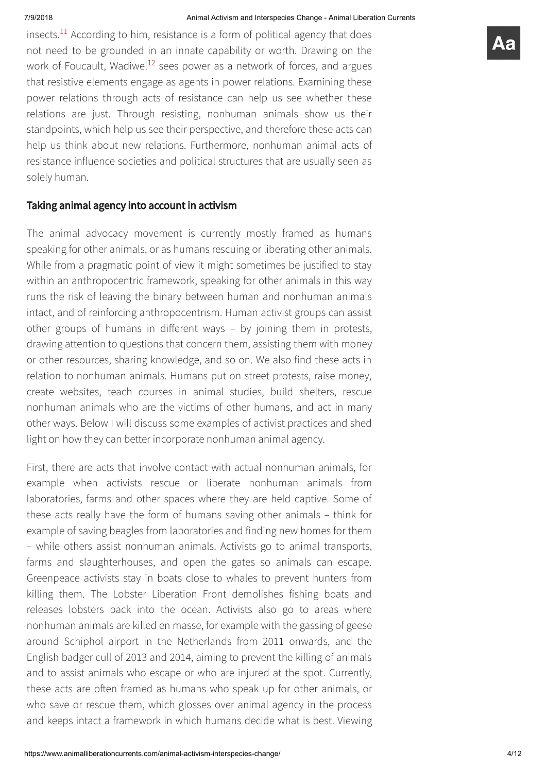<span id="page-4-1"></span><span id="page-4-0"></span>insects. $^{11}$  $^{11}$  $^{11}$  According to him, resistance is a form of political agency that does not need to be grounded in an innate capability or worth. Drawing on the work of Foucault, Wadiwel<sup>[12](#page-10-6)</sup> sees power as a network of forces, and argues that resistive elements engage as agents in power relations. Examining these power relations through acts of resistance can help us see whether these relations are just. Through resisting, nonhuman animals show us their standpoints, which help us see their perspective, and therefore these acts can

help us think about new relations. Furthermore, nonhuman animal acts of resistance influence societies and political structures that are usually seen as solely human.

# Taking animal agency into account in activism

The animal advocacy movement is currently mostly framed as humans speaking for other animals, or as humans rescuing or liberating other animals. While from a pragmatic point of view it might sometimes be justified to stay within an anthropocentric framework, speaking for other animals in this way runs the risk of leaving the binary between human and nonhuman animals intact, and of reinforcing anthropocentrism. Human activist groups can assist other groups of humans in different ways  $-$  by joining them in protests, drawing attention to questions that concern them, assisting them with money or other resources, sharing knowledge, and so on. We also find these acts in relation to nonhuman animals. Humans put on street protests, raise money, create websites, teach courses in animal studies, build shelters, rescue nonhuman animals who are the victims of other humans, and act in many other ways. Below I will discuss some examples of activist practices and shed light on how they can better incorporate nonhuman animal agency.

First, there are acts that involve contact with actual nonhuman animals, for example when activists rescue or liberate nonhuman animals from laboratories, farms and other spaces where they are held captive. Some of these acts really have the form of humans saving other animals – think for example of saving beagles from laboratories and finding new homes for them – while others assist nonhuman animals. Activists go to animal transports, farms and slaughterhouses, and open the gates so animals can escape. Greenpeace activists stay in boats close to whales to prevent hunters from killing them. The Lobster Liberation Front demolishes fishing boats and releases lobsters back into the ocean. Activists also go to areas where nonhuman animals are killed en masse, for example with the gassing of geese around Schiphol airport in the Netherlands from 2011 onwards, and the English badger cull of 2013 and 2014, aiming to prevent the killing of animals and to assist animals who escape or who are injured at the spot. Currently, these acts are often framed as humans who speak up for other animals, or who save or rescue them, which glosses over animal agency in the process and keeps intact a framework in which humans decide what is best. Viewing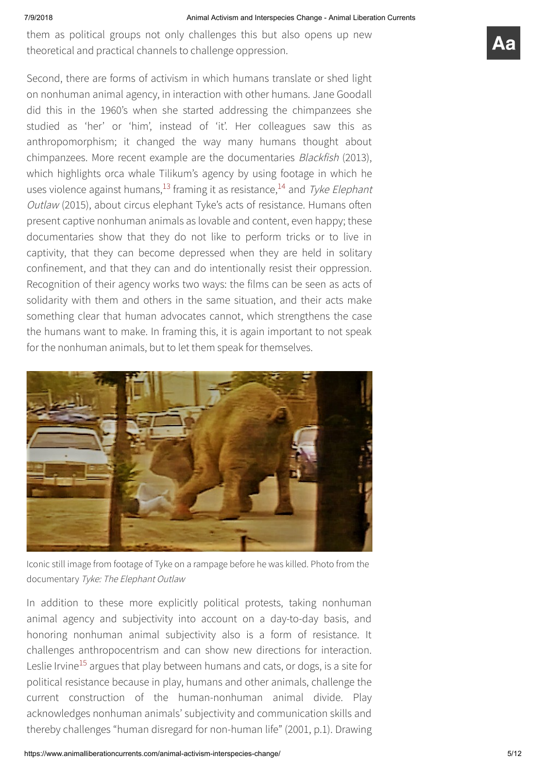them as political groups not only challenges this but also opens up new theoretical and practical channels to challenge oppression.

<span id="page-5-1"></span><span id="page-5-0"></span>Second, there are forms of activism in which humans translate or shed light on nonhuman animal agency, in interaction with other humans. Jane Goodall did this in the 1960's when she started addressing the chimpanzees she studied as 'her' or 'him', instead of 'it'. Her colleagues saw this as anthropomorphism; it changed the way many humans thought about chimpanzees. More recent example are the documentaries Blackfish (2013), which highlights orca whale Tilikum's agency by using footage in which he uses violence against humans,<sup>[13](#page-10-7)</sup> framing it as resistance,<sup>[14](#page-10-8)</sup> and Tyke Elephant Outlaw (2015), about circus elephant Tyke's acts of resistance. Humans often present captive nonhuman animals as lovable and content, even happy; these documentaries show that they do not like to perform tricks or to live in captivity, that they can become depressed when they are held in solitary confinement, and that they can and do intentionally resist their oppression. Recognition of their agency works two ways: the films can be seen as acts of solidarity with them and others in the same situation, and their acts make something clear that human advocates cannot, which strengthens the case the humans want to make. In framing this, it is again important to not speak for the nonhuman animals, but to let them speak for themselves.



Iconic still image from footage of Tyke on a rampage before he was killed. Photo from the documentary Tyke: The Elephant Outlaw

<span id="page-5-2"></span>In addition to these more explicitly political protests, taking nonhuman animal agency and subjectivity into account on a day-to-day basis, and honoring nonhuman animal subjectivity also is a form of resistance. It challenges anthropocentrism and can show new directions for interaction. Leslie Irvine<sup>[15](#page-10-9)</sup> argues that play between humans and cats, or dogs, is a site for political resistance because in play, humans and other animals, challenge the current construction of the human-nonhuman animal divide. Play acknowledges nonhuman animals' subjectivity and communication skills and thereby challenges "human disregard for non-human life" (2001, p.1). Drawing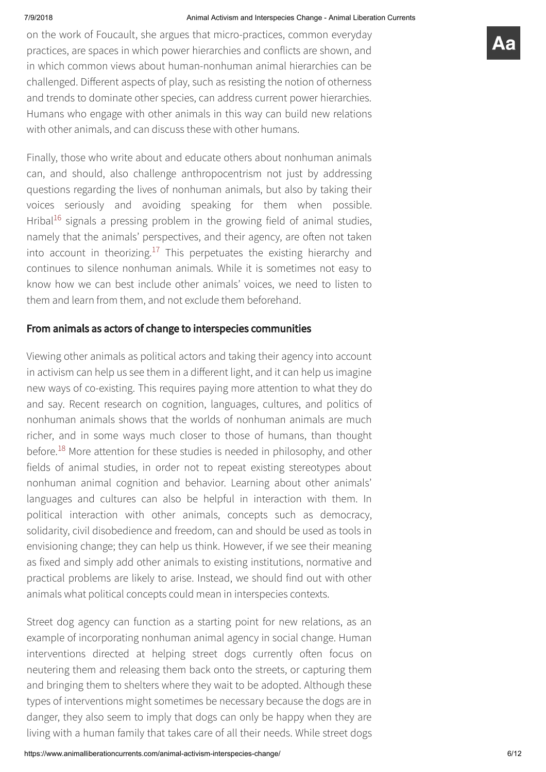on the work of Foucault, she argues that micro-practices, common everyday practices, are spaces in which power hierarchies and conflicts are shown, and in which common views about human-nonhuman animal hierarchies can be challenged. Different aspects of play, such as resisting the notion of otherness and trends to dominate other species, can address current power hierarchies. Humans who engage with other animals in this way can build new relations with other animals, and can discuss these with other humans.

<span id="page-6-0"></span>Finally, those who write about and educate others about nonhuman animals can, and should, also challenge anthropocentrism not just by addressing questions regarding the lives of nonhuman animals, but also by taking their voices seriously and avoiding speaking for them when possible. Hribal<sup>[16](#page-10-10)</sup> signals a pressing problem in the growing field of animal studies, namely that the animals' perspectives, and their agency, are often not taken into account in theorizing.<sup>[17](#page-10-11)</sup> This perpetuates the existing hierarchy and continues to silence nonhuman animals. While it is sometimes not easy to know how we can best include other animals' voices, we need to listen to them and learn from them, and not exclude them beforehand.

# <span id="page-6-1"></span>From animals as actors of change to interspecies communities

<span id="page-6-2"></span>Viewing other animals as political actors and taking their agency into account in activism can help us see them in a different light, and it can help us imagine new ways of co-existing. This requires paying more attention to what they do and say. Recent research on cognition, languages, cultures, and politics of nonhuman animals shows that the worlds of nonhuman animals are much richer, and in some ways much closer to those of humans, than thought before.<sup>[18](#page-10-12)</sup> More attention for these studies is needed in philosophy, and other fields of animal studies, in order not to repeat existing stereotypes about nonhuman animal cognition and behavior. Learning about other animals' languages and cultures can also be helpful in interaction with them. In political interaction with other animals, concepts such as democracy, solidarity, civil disobedience and freedom, can and should be used as tools in envisioning change; they can help us think. However, if we see their meaning as fixed and simply add other animals to existing institutions, normative and practical problems are likely to arise. Instead, we should find out with other animals what political concepts could mean in interspecies contexts.

Street dog agency can function as a starting point for new relations, as an example of incorporating nonhuman animal agency in social change. Human interventions directed at helping street dogs currently often focus on neutering them and releasing them back onto the streets, or capturing them and bringing them to shelters where they wait to be adopted. Although these types of interventions might sometimes be necessary because the dogs are in danger, they also seem to imply that dogs can only be happy when they are living with a human family that takes care of all their needs. While street dogs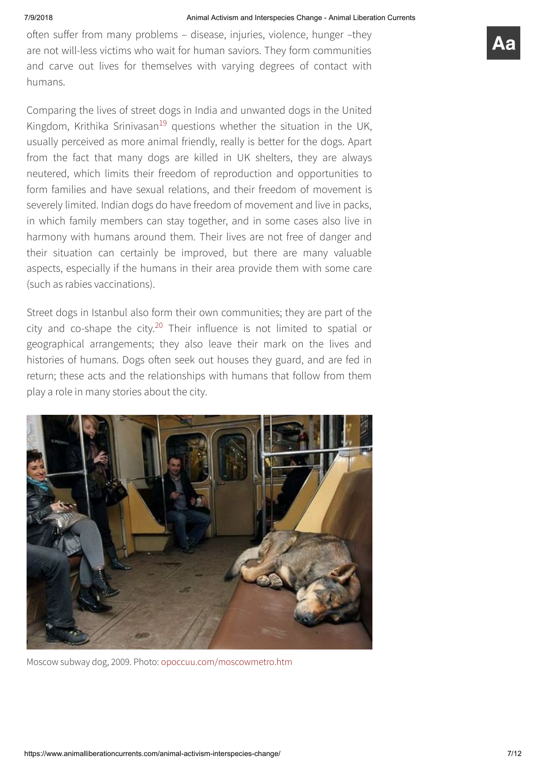often suffer from many problems - disease, injuries, violence, hunger -they are not will-less victims who wait for human saviors. They form communities and carve out lives for themselves with varying degrees of contact with humans.

<span id="page-7-0"></span>Comparing the lives of street dogs in India and unwanted dogs in the United Kingdom, Krithika Srinivasan<sup>[19](#page-11-0)</sup> questions whether the situation in the UK, usually perceived as more animal friendly, really is better for the dogs. Apart from the fact that many dogs are killed in UK shelters, they are always neutered, which limits their freedom of reproduction and opportunities to form families and have sexual relations, and their freedom of movement is severely limited. Indian dogs do have freedom of movement and live in packs, in which family members can stay together, and in some cases also live in harmony with humans around them. Their lives are not free of danger and their situation can certainly be improved, but there are many valuable aspects, especially if the humans in their area provide them with some care (such as rabies vaccinations).

<span id="page-7-1"></span>Street dogs in Istanbul also form their own communities; they are part of the city and co-shape the city.<sup>[20](#page-11-1)</sup> Their influence is not limited to spatial or geographical arrangements; they also leave their mark on the lives and histories of humans. Dogs often seek out houses they guard, and are fed in return; these acts and the relationships with humans that follow from them play a role in many stories about the city.



Moscow subway dog, 2009. Photo: [opoccuu.com/moscowmetro.htm](http://opoccuu.com/moscowmetro.htm)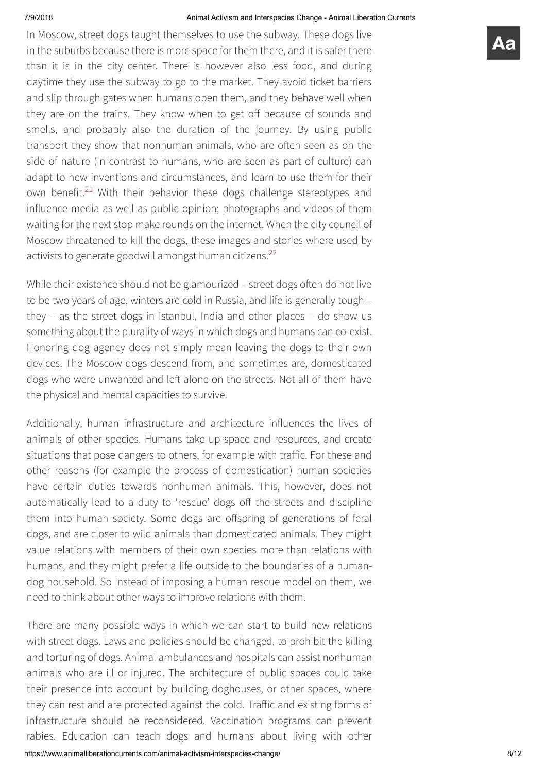In Moscow, street dogs taught themselves to use the subway. These dogs live in the suburbs because there is more space for them there, and it is safer there than it is in the city center. There is however also less food, and during daytime they use the subway to go to the market. They avoid ticket barriers and slip through gates when humans open them, and they behave well when they are on the trains. They know when to get off because of sounds and smells, and probably also the duration of the journey. By using public transport they show that nonhuman animals, who are often seen as on the side of nature (in contrast to humans, who are seen as part of culture) can adapt to new inventions and circumstances, and learn to use them for their own benefit.<sup>[21](#page-11-2)</sup> With their behavior these dogs challenge stereotypes and influence media as well as public opinion; photographs and videos of them waiting for the next stop make rounds on the internet. When the city council of Moscow threatened to kill the dogs, these images and stories where used by activists to generate goodwill amongst human citizens.<sup>[22](#page-11-3)</sup>

<span id="page-8-1"></span><span id="page-8-0"></span>While their existence should not be glamourized - street dogs often do not live to be two years of age, winters are cold in Russia, and life is generally tough – they – as the street dogs in Istanbul, India and other places – do show us something about the plurality of ways in which dogs and humans can co-exist. Honoring dog agency does not simply mean leaving the dogs to their own devices. The Moscow dogs descend from, and sometimes are, domesticated dogs who were unwanted and left alone on the streets. Not all of them have the physical and mental capacities to survive.

Additionally, human infrastructure and architecture influences the lives of animals of other species. Humans take up space and resources, and create situations that pose dangers to others, for example with traffic. For these and other reasons (for example the process of domestication) human societies have certain duties towards nonhuman animals. This, however, does not automatically lead to a duty to 'rescue' dogs off the streets and discipline them into human society. Some dogs are offspring of generations of feral dogs, and are closer to wild animals than domesticated animals. They might value relations with members of their own species more than relations with humans, and they might prefer a life outside to the boundaries of a humandog household. So instead of imposing a human rescue model on them, we need to think about other ways to improve relations with them.

There are many possible ways in which we can start to build new relations with street dogs. Laws and policies should be changed, to prohibit the killing and torturing of dogs. Animal ambulances and hospitals can assist nonhuman animals who are ill or injured. The architecture of public spaces could take their presence into account by building doghouses, or other spaces, where they can rest and are protected against the cold. Traffic and existing forms of infrastructure should be reconsidered. Vaccination programs can prevent rabies. Education can teach dogs and humans about living with other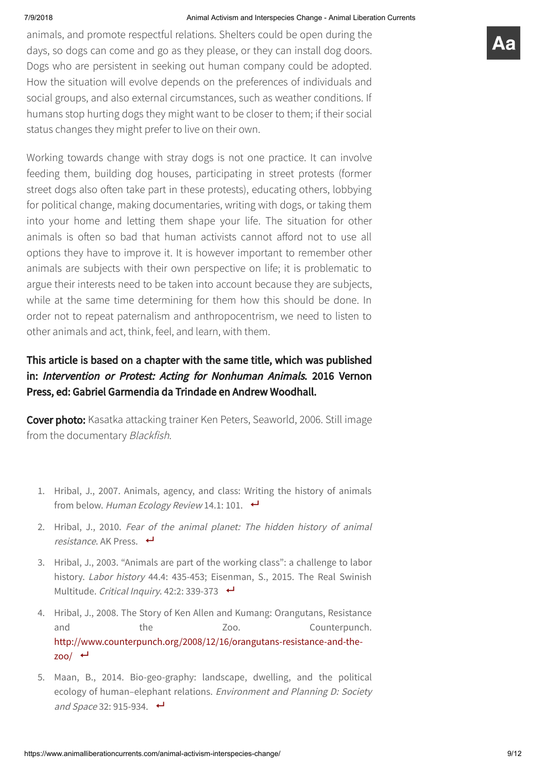animals, and promote respectful relations. Shelters could be open during the days, so dogs can come and go as they please, or they can install dog doors. Dogs who are persistent in seeking out human company could be adopted. How the situation will evolve depends on the preferences of individuals and social groups, and also external circumstances, such as weather conditions. If humans stop hurting dogs they might want to be closer to them; if their social status changes they might prefer to live on their own.

Working towards change with stray dogs is not one practice. It can involve feeding them, building dog houses, participating in street protests (former street dogs also often take part in these protests), educating others, lobbying for political change, making documentaries, writing with dogs, or taking them into your home and letting them shape your life. The situation for other animals is often so bad that human activists cannot afford not to use all options they have to improve it. It is however important to remember other animals are subjects with their own perspective on life; it is problematic to argue their interests need to be taken into account because they are subjects, while at the same time determining for them how this should be done. In order not to repeat paternalism and anthropocentrism, we need to listen to other animals and act, think, feel, and learn, with them.

# This article is based on a chapter with the same title, which was published in: Intervention or Protest: Acting for Nonhuman Animals. 2016 Vernon Press, ed: Gabriel Garmendia da Trindade en Andrew Woodhall.

Cover photo: Kasatka attacking trainer Ken Peters, Seaworld, 2006. Still image from the documentary Blackfish.

- <span id="page-9-0"></span>1. Hribal, J., 2007. Animals, agency, and class: Writing the history of animals from below. Human Ecology Review 14.1: 101.  $\leftrightarrow$
- <span id="page-9-1"></span>2. Hribal, J., 2010. Fear of the animal planet: The hidden history of animal resistance. AK Press.  $\leftrightarrow$
- <span id="page-9-2"></span>3. Hribal, J., 2003. "Animals are part of the working class": a challenge to labor history. *Labor history* 44.4: 435-453: Eisenman, S., 2015. The Real Swinish Multitude. Critical Inquiry. 42:2: 339-373
- <span id="page-9-3"></span>4. Hribal, J., 2008. The Story of Ken Allen and Kumang: Orangutans, Resistance and the Zoo. Counterpunch. [http://www.counterpunch.org/2008/12/16/orangutans-resistance-and-the-](http://www.counterpunch.org/2008/12/16/orangutans-resistance-and-the-zoo/) $200/$   $\leftarrow$
- <span id="page-9-4"></span>5. Maan, B., 2014. Bio-geo-graphy: landscape, dwelling, and the political ecology of human–elephant relations. Environment and Planning D: Society and Space 32: 915-934.  $\leftrightarrow$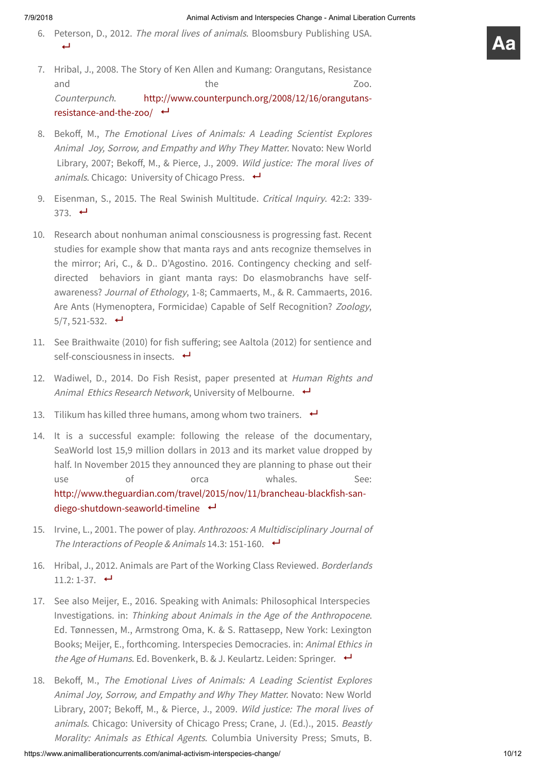- <span id="page-10-0"></span>6. Peterson, D., 2012. The moral lives of animals. Bloomsbury Publishing USA. البه
- <span id="page-10-1"></span>7. Hribal, J., 2008. The Story of Ken Allen and Kumang: Orangutans, Resistance and zoo. Counterpunch. [http://www.counterpunch.org/2008/12/16/orangutans](http://www.counterpunch.org/2008/12/16/orangutans-resistance-and-the-zoo/)resistance-and-the-zoo/ ←
- <span id="page-10-2"></span>8. Bekoff, M., The Emotional Lives of Animals: A Leading Scientist Explores Animal Joy, Sorrow, and Empathy and Why They Matter. Novato: New World Library, 2007; Bekoff, M., & Pierce, J., 2009. Wild justice: The moral lives of animals. Chicago: University of Chicago Press.  $\leftrightarrow$
- <span id="page-10-3"></span>9. Eisenman, S., 2015. The Real Swinish Multitude. Critical Inquiry. 42:2: 339-373.  $\leftrightarrow$
- <span id="page-10-4"></span>10. Research about nonhuman animal consciousness is progressing fast. Recent studies for example show that manta rays and ants recognize themselves in the mirror; Ari, C., & D.. D'Agostino. 2016. Contingency checking and selfdirected behaviors in giant manta rays: Do elasmobranchs have selfawareness? Journal of Ethology, 1-8; Cammaerts, M., & R. Cammaerts, 2016. Are Ants (Hymenoptera, Formicidae) Capable of Self Recognition? Zoology,  $5/7, 521-532.$
- <span id="page-10-5"></span>11. See Braithwaite (2010) for fish suffering; see Aaltola (2012) for sentience and self-consciousness in insects.  $\leftrightarrow$
- <span id="page-10-6"></span>12. Wadiwel, D., 2014. Do Fish Resist, paper presented at Human Rights and Animal Ethics Research Network, University of Melbourne.  $\leftrightarrow$
- <span id="page-10-7"></span>13. Tilikum has killed three humans, among whom two trainers.  $\leftrightarrow$
- <span id="page-10-8"></span>14. It is a successful example: following the release of the documentary, SeaWorld lost 15,9 million dollars in 2013 and its market value dropped by half. In November 2015 they announced they are planning to phase out their use of orca whales. See: [http://www.theguardian.com/travel/2015/nov/11/brancheau-blackfish-san](http://www.theguardian.com/travel/2015/nov/11/brancheau-blackfish-san-diego-shutdown-seaworld-timeline)diego-shutdown-seaworld-timeline
- <span id="page-10-9"></span>15. Irvine, L., 2001. The power of play. Anthrozoos: <sup>A</sup> Multidisciplinary Journal of The Interactions of People & Animals 14.3: 151-160.  $\leftrightarrow$
- <span id="page-10-10"></span>16. Hribal, J., 2012. Animals are Part of the Working Class Reviewed. Borderlands  $11.2: 1-37.$
- <span id="page-10-11"></span>17. See also Meijer, E., 2016. Speaking with Animals: Philosophical Interspecies Investigations. in: Thinking about Animals in the Age of the Anthropocene. Ed. Tønnessen, M., Armstrong Oma, K. & S. Rattasepp, New York: Lexington Books; Meijer, E., forthcoming. Interspecies Democracies. in: Animal Ethics in the Age of Humans. Ed. Bovenkerk, B. & J. Keulartz. Leiden: Springer.  $\leftrightarrow$
- <span id="page-10-12"></span>18. Bekoff, M., The Emotional Lives of Animals: A Leading Scientist Explores Animal Joy, Sorrow, and Empathy and Why They Matter. Novato: New World Library, 2007; Bekoff, M., & Pierce, J., 2009. Wild justice: The moral lives of animals. Chicago: University of Chicago Press; Crane, J. (Ed.)., 2015. Beastly Morality: Animals as Ethical Agents. Columbia University Press; Smuts, B.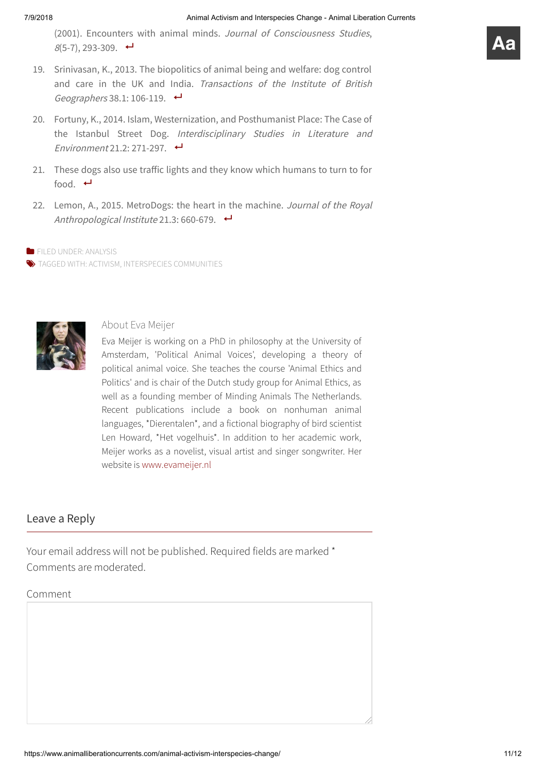(2001). Encounters with animal minds. Journal of Consciousness Studies,  $8(5-7), 293-309.$ 

- <span id="page-11-0"></span>19. Srinivasan, K., 2013. The biopolitics of animal being and welfare: dog control and care in the UK and India. Transactions of the Institute of British Geographers 38.1: 106-119.  $\leftrightarrow$
- <span id="page-11-1"></span>20. Fortuny, K., 2014. Islam, Westernization, and Posthumanist Place: The Case of the Istanbul Street Dog. Interdisciplinary Studies in Literature and Environment 21.2: 271-297.  $\leftrightarrow$
- <span id="page-11-2"></span>21. These dogs also use traffic lights and they know which humans to turn to for food.  $\leftarrow$
- <span id="page-11-3"></span>22. Lemon, A., 2015. MetroDogs: the heart in the machine. Journal of the Royal Anthropological Institute 21.3: 660-679.  $\leftrightarrow$

**FILED UNDER: [ANALYSIS](https://www.animalliberationcurrents.com/category/analysis/)** 

 $\blacktriangleright$  TAGGED WITH: [ACTIVISM,](https://www.animalliberationcurrents.com/tag/activism/) INTERSPECIES [COMMUNITIES](https://www.animalliberationcurrents.com/tag/interspecies-communities/)



# About Eva Meijer

Eva Meijer is working on a PhD in philosophy at the University of Amsterdam, 'Political Animal Voices', developing a theory of political animal voice. She teaches the course 'Animal Ethics and Politics' and is chair of the Dutch study group for Animal Ethics, as well as a founding member of Minding Animals The Netherlands. Recent publications include a book on nonhuman animal languages, \*Dierentalen\*, and a fictional biography of bird scientist Len Howard, \*Het vogelhuis\*. In addition to her academic work, Meijer works as a novelist, visual artist and singer songwriter. Her website is [www.evameijer.nl](http://www.evameijer.nl/)

# Leave a Reply

Your email address will not be published. Required fields are marked \* Comments are moderated.

### Comment